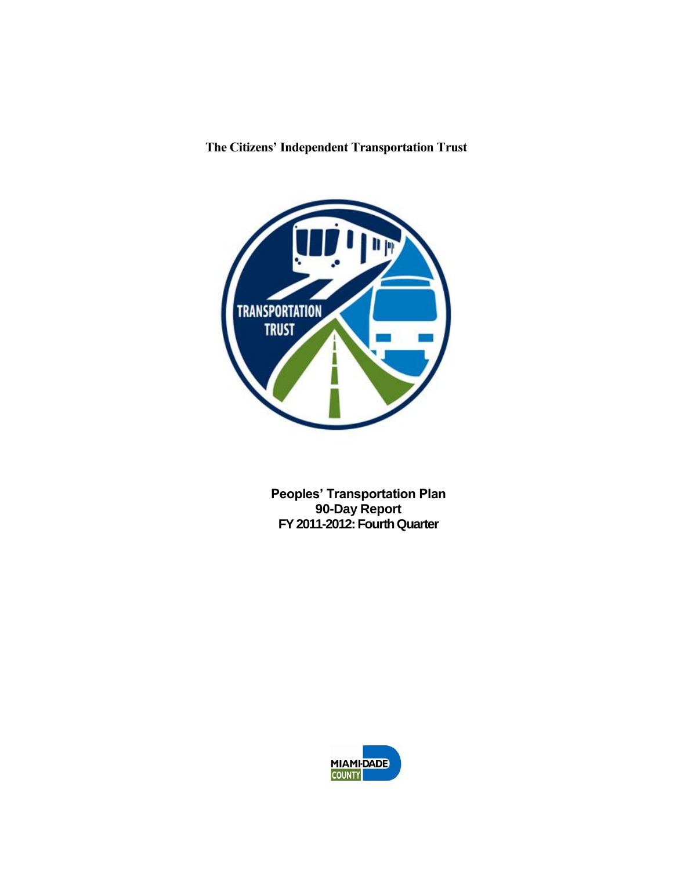# **The Citizens' Independent Transportation Trust**



**Peoples' Transportation Plan 90-Day Report FY 2011-2012: Fourth Quarter**

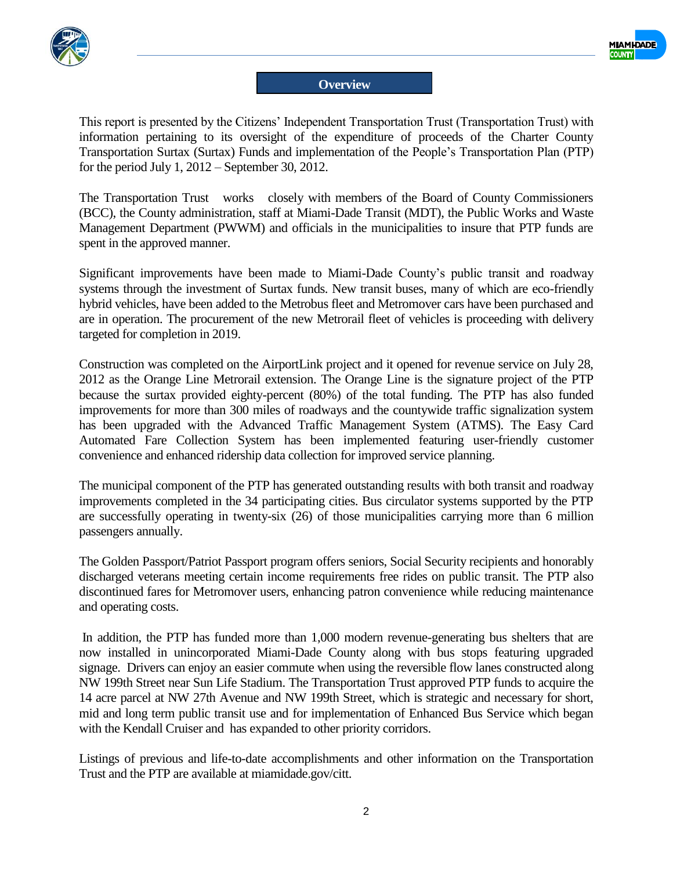



#### **Overview**

This report is presented by the Citizens' Independent Transportation Trust (Transportation Trust) with information pertaining to its oversight of the expenditure of proceeds of the Charter County Transportation Surtax (Surtax) Funds and implementation of the People's Transportation Plan (PTP) for the period July 1, 2012 – September 30, 2012.

The Transportation Trust works closely with members of the Board of County Commissioners (BCC), the County administration, staff at Miami-Dade Transit (MDT), the Public Works and Waste Management Department (PWWM) and officials in the municipalities to insure that PTP funds are spent in the approved manner.

Significant improvements have been made to Miami-Dade County's public transit and roadway systems through the investment of Surtax funds. New transit buses, many of which are eco-friendly hybrid vehicles, have been added to the Metrobus fleet and Metromover cars have been purchased and are in operation. The procurement of the new Metrorail fleet of vehicles is proceeding with delivery targeted for completion in 2019.

Construction was completed on the AirportLink project and it opened for revenue service on July 28, 2012 as the Orange Line Metrorail extension. The Orange Line is the signature project of the PTP because the surtax provided eighty-percent (80%) of the total funding. The PTP has also funded improvements for more than 300 miles of roadways and the countywide traffic signalization system has been upgraded with the Advanced Traffic Management System (ATMS). The Easy Card Automated Fare Collection System has been implemented featuring user-friendly customer convenience and enhanced ridership data collection for improved service planning.

The municipal component of the PTP has generated outstanding results with both transit and roadway improvements completed in the 34 participating cities. Bus circulator systems supported by the PTP are successfully operating in twenty-six (26) of those municipalities carrying more than 6 million passengers annually.

The Golden Passport/Patriot Passport program offers seniors, Social Security recipients and honorably discharged veterans meeting certain income requirements free rides on public transit. The PTP also discontinued fares for Metromover users, enhancing patron convenience while reducing maintenance and operating costs.

In addition, the PTP has funded more than 1,000 modern revenue-generating bus shelters that are now installed in unincorporated Miami-Dade County along with bus stops featuring upgraded signage. Drivers can enjoy an easier commute when using the reversible flow lanes constructed along NW 199th Street near Sun Life Stadium. The Transportation Trust approved PTP funds to acquire the 14 acre parcel at NW 27th Avenue and NW 199th Street, which is strategic and necessary for short, mid and long term public transit use and for implementation of Enhanced Bus Service which began with the Kendall Cruiser and has expanded to other priority corridors.

Listings of previous and life-to-date accomplishments and other information on the Transportation Trust and the PTP are available at miamidade.gov/citt.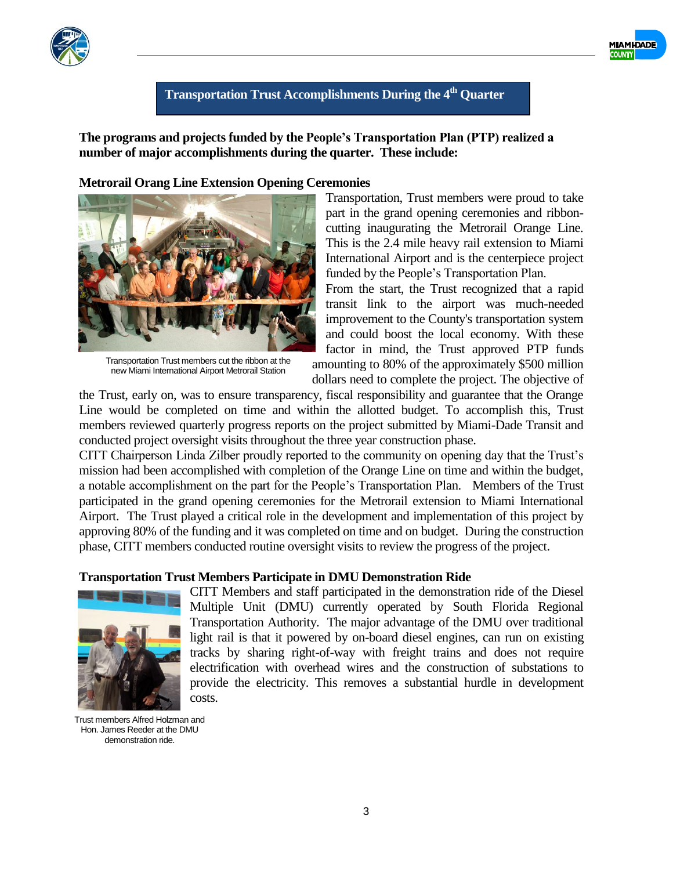



**The programs and projects funded by the People's Transportation Plan (PTP) realized a number of major accomplishments during the quarter. These include:**

#### **Metrorail Orang Line Extension Opening Ceremonies**

Transportation Trust members cut the ribbon at the new Miami International Airport Metrorail Station

Transportation, Trust members were proud to take part in the grand opening ceremonies and ribboncutting inaugurating the Metrorail Orange Line. This is the 2.4 mile heavy rail extension to Miami International Airport and is the centerpiece project funded by the People's Transportation Plan.

MIAMI-<mark>DADE</mark>

From the start, the Trust recognized that a rapid transit link to the airport was much-needed improvement to the County's transportation system and could boost the local economy. With these factor in mind, the Trust approved PTP funds amounting to 80% of the approximately \$500 million dollars need to complete the project. The objective of

the Trust, early on, was to ensure transparency, fiscal responsibility and guarantee that the Orange Line would be completed on time and within the allotted budget. To accomplish this, Trust members reviewed quarterly progress reports on the project submitted by Miami-Dade Transit and conducted project oversight visits throughout the three year construction phase.

CITT Chairperson Linda Zilber proudly reported to the community on opening day that the Trust's mission had been accomplished with completion of the Orange Line on time and within the budget, a notable accomplishment on the part for the People's Transportation Plan. Members of the Trust participated in the grand opening ceremonies for the Metrorail extension to Miami International Airport. The Trust played a critical role in the development and implementation of this project by approving 80% of the funding and it was completed on time and on budget. During the construction phase, CITT members conducted routine oversight visits to review the progress of the project.

#### **Transportation Trust Members Participate in DMU Demonstration Ride**



CITT Members and staff participated in the demonstration ride of the Diesel Multiple Unit (DMU) currently operated by South Florida Regional Transportation Authority. The major advantage of the DMU over traditional light rail is that it powered by on-board diesel engines, can run on existing tracks by sharing right-of-way with freight trains and does not require electrification with overhead wires and the construction of substations to provide the electricity. This removes a substantial hurdle in development costs.

Trust members Alfred Holzman and Hon. James Reeder at the DMU demonstration ride.



3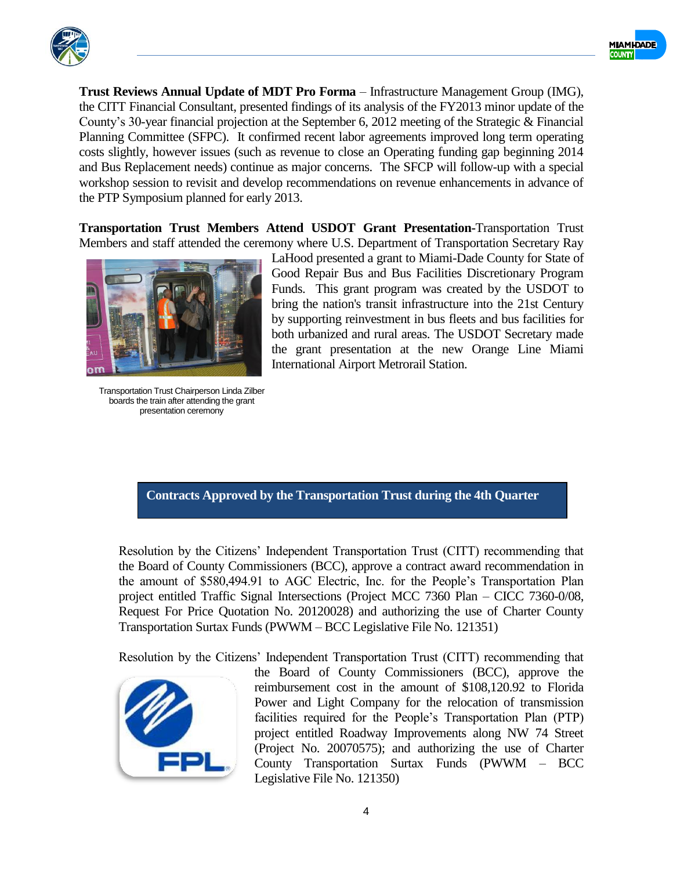



**Trust Reviews Annual Update of MDT Pro Forma** – Infrastructure Management Group (IMG), the CITT Financial Consultant, presented findings of its analysis of the FY2013 minor update of the County's 30-year financial projection at the September 6, 2012 meeting of the Strategic & Financial Planning Committee (SFPC). It confirmed recent labor agreements improved long term operating costs slightly, however issues (such as revenue to close an Operating funding gap beginning 2014 and Bus Replacement needs) continue as major concerns. The SFCP will follow-up with a special workshop session to revisit and develop recommendations on revenue enhancements in advance of the PTP Symposium planned for early 2013.

**Transportation Trust Members Attend USDOT Grant Presentation-**Transportation Trust Members and staff attended the ceremony where U.S. Department of Transportation Secretary Ray



Transportation Trust Chairperson Linda Zilber boards the train after attending the grant presentation ceremony

LaHood presented a grant to Miami-Dade County for State of Good Repair Bus and Bus Facilities Discretionary Program Funds. This grant program was created by the USDOT to bring the nation's transit infrastructure into the 21st Century by supporting reinvestment in bus fleets and bus facilities for both urbanized and rural areas. The USDOT Secretary made the grant presentation at the new Orange Line Miami International Airport Metrorail Station.

#### **Contracts Approved by the Transportation Trust during the 4th Quarter**

Resolution by the Citizens' Independent Transportation Trust (CITT) recommending that the Board of County Commissioners (BCC), approve a contract award recommendation in the amount of \$580,494.91 to AGC Electric, Inc. for the People's Transportation Plan project entitled Traffic Signal Intersections (Project MCC 7360 Plan – CICC 7360-0/08, Request For Price Quotation No. 20120028) and authorizing the use of Charter County Transportation Surtax Funds (PWWM – BCC Legislative File No. 121351)

Resolution by the Citizens' Independent Transportation Trust (CITT) recommending that



the Board of County Commissioners (BCC), approve the reimbursement cost in the amount of \$108,120.92 to Florida Power and Light Company for the relocation of transmission facilities required for the People's Transportation Plan (PTP) project entitled Roadway Improvements along NW 74 Street (Project No. 20070575); and authorizing the use of Charter County Transportation Surtax Funds (PWWM – BCC Legislative File No. 121350)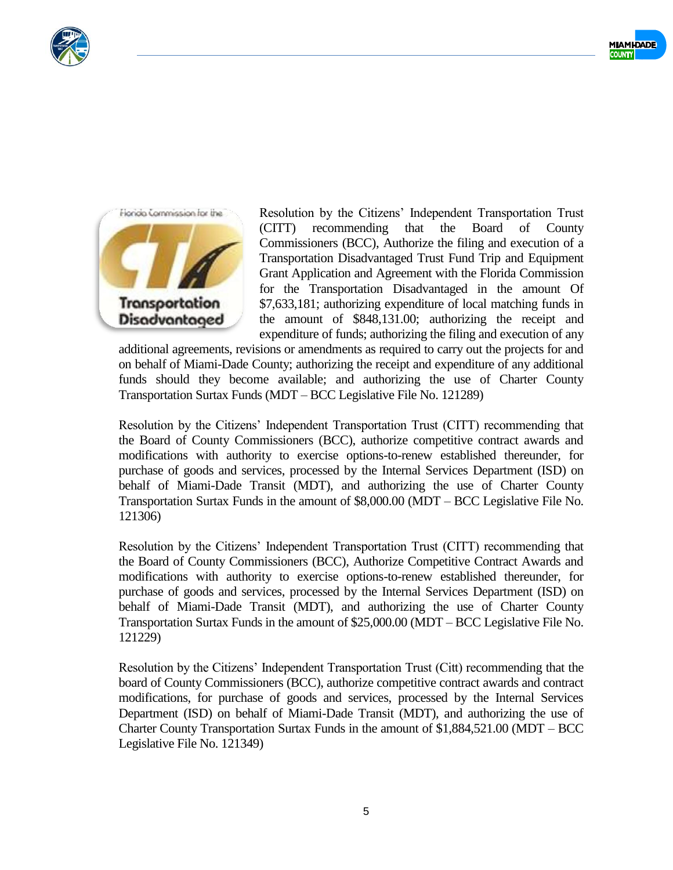





Resolution by the Citizens' Independent Transportation Trust (CITT) recommending that the Board of County Commissioners (BCC), Authorize the filing and execution of a Transportation Disadvantaged Trust Fund Trip and Equipment Grant Application and Agreement with the Florida Commission for the Transportation Disadvantaged in the amount Of \$7,633,181; authorizing expenditure of local matching funds in the amount of \$848,131.00; authorizing the receipt and expenditure of funds; authorizing the filing and execution of any

additional agreements, revisions or amendments as required to carry out the projects for and on behalf of Miami-Dade County; authorizing the receipt and expenditure of any additional funds should they become available; and authorizing the use of Charter County Transportation Surtax Funds (MDT – BCC Legislative File No. 121289)

Resolution by the Citizens' Independent Transportation Trust (CITT) recommending that the Board of County Commissioners (BCC), authorize competitive contract awards and modifications with authority to exercise options-to-renew established thereunder, for purchase of goods and services, processed by the Internal Services Department (ISD) on behalf of Miami-Dade Transit (MDT), and authorizing the use of Charter County Transportation Surtax Funds in the amount of \$8,000.00 (MDT – BCC Legislative File No. 121306)

Resolution by the Citizens' Independent Transportation Trust (CITT) recommending that the Board of County Commissioners (BCC), Authorize Competitive Contract Awards and modifications with authority to exercise options-to-renew established thereunder, for purchase of goods and services, processed by the Internal Services Department (ISD) on behalf of Miami-Dade Transit (MDT), and authorizing the use of Charter County Transportation Surtax Funds in the amount of \$25,000.00 (MDT – BCC Legislative File No. 121229)

Resolution by the Citizens' Independent Transportation Trust (Citt) recommending that the board of County Commissioners (BCC), authorize competitive contract awards and contract modifications, for purchase of goods and services, processed by the Internal Services Department (ISD) on behalf of Miami-Dade Transit (MDT), and authorizing the use of Charter County Transportation Surtax Funds in the amount of \$1,884,521.00 (MDT – BCC Legislative File No. 121349)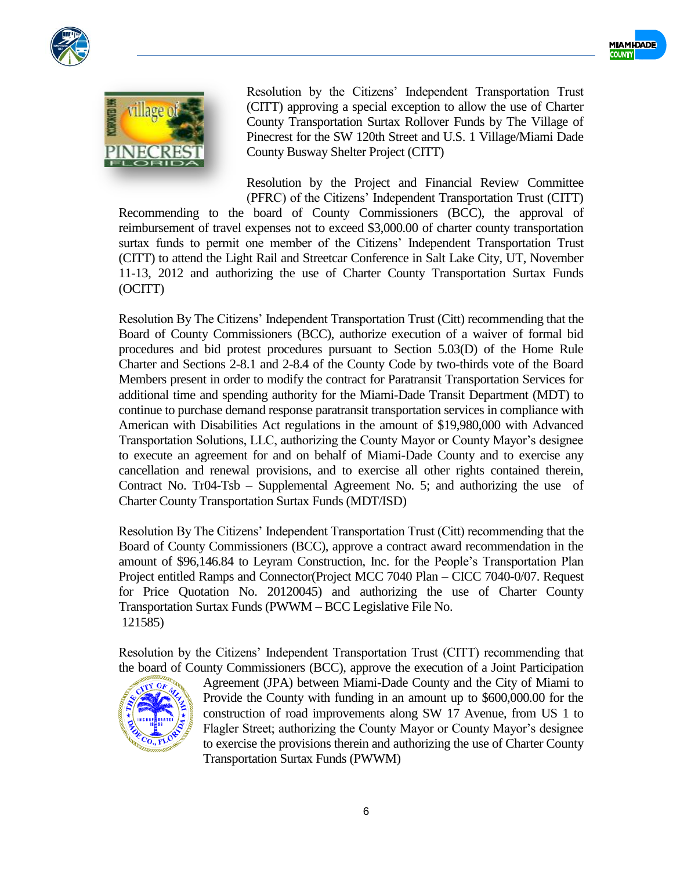





Resolution by the Citizens' Independent Transportation Trust (CITT) approving a special exception to allow the use of Charter County Transportation Surtax Rollover Funds by The Village of Pinecrest for the SW 120th Street and U.S. 1 Village/Miami Dade County Busway Shelter Project (CITT)

Resolution by the Project and Financial Review Committee (PFRC) of the Citizens' Independent Transportation Trust (CITT)

Recommending to the board of County Commissioners (BCC), the approval of reimbursement of travel expenses not to exceed \$3,000.00 of charter county transportation surtax funds to permit one member of the Citizens' Independent Transportation Trust (CITT) to attend the Light Rail and Streetcar Conference in Salt Lake City, UT, November 11-13, 2012 and authorizing the use of Charter County Transportation Surtax Funds (OCITT)

Resolution By The Citizens' Independent Transportation Trust (Citt) recommending that the Board of County Commissioners (BCC), authorize execution of a waiver of formal bid procedures and bid protest procedures pursuant to Section 5.03(D) of the Home Rule Charter and Sections 2-8.1 and 2-8.4 of the County Code by two-thirds vote of the Board Members present in order to modify the contract for Paratransit Transportation Services for additional time and spending authority for the Miami-Dade Transit Department (MDT) to continue to purchase demand response paratransit transportation services in compliance with American with Disabilities Act regulations in the amount of \$19,980,000 with Advanced Transportation Solutions, LLC, authorizing the County Mayor or County Mayor's designee to execute an agreement for and on behalf of Miami-Dade County and to exercise any cancellation and renewal provisions, and to exercise all other rights contained therein, Contract No. Tr04-Tsb – Supplemental Agreement No. 5; and authorizing the use of Charter County Transportation Surtax Funds (MDT/ISD)

Resolution By The Citizens' Independent Transportation Trust (Citt) recommending that the Board of County Commissioners (BCC), approve a contract award recommendation in the amount of \$96,146.84 to Leyram Construction, Inc. for the People's Transportation Plan Project entitled Ramps and Connector(Project MCC 7040 Plan – CICC 7040-0/07. Request for Price Quotation No. 20120045) and authorizing the use of Charter County Transportation Surtax Funds (PWWM – BCC Legislative File No. 121585)

Resolution by the Citizens' Independent Transportation Trust (CITT) recommending that the board of County Commissioners (BCC), approve the execution of a Joint Participation



Agreement (JPA) between Miami-Dade County and the City of Miami to Provide the County with funding in an amount up to \$600,000.00 for the construction of road improvements along SW 17 Avenue, from US 1 to Flagler Street; authorizing the County Mayor or County Mayor's designee to exercise the provisions therein and authorizing the use of Charter County Transportation Surtax Funds (PWWM)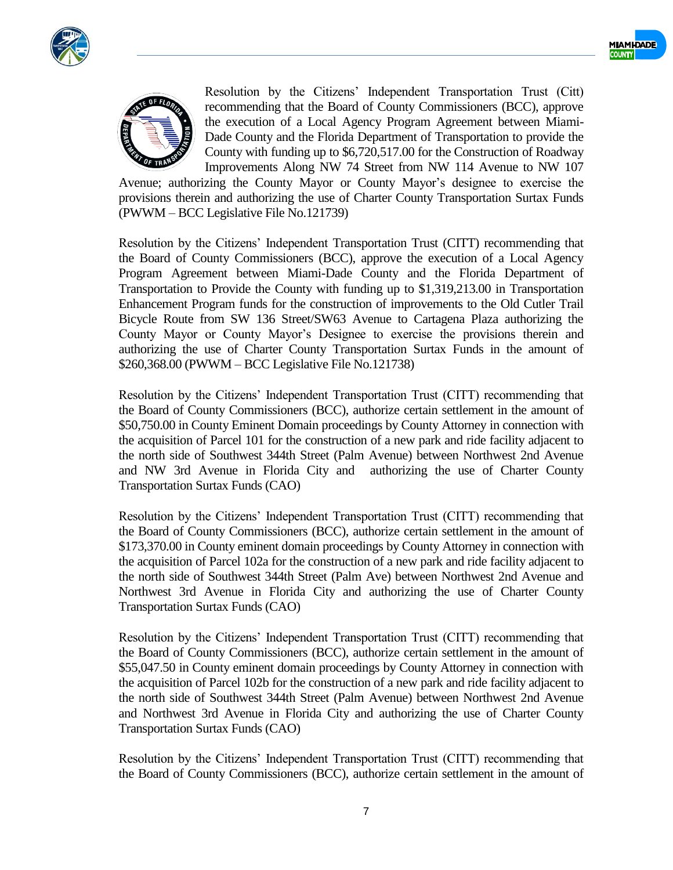





Resolution by the Citizens' Independent Transportation Trust (Citt) recommending that the Board of County Commissioners (BCC), approve the execution of a Local Agency Program Agreement between Miami-Dade County and the Florida Department of Transportation to provide the County with funding up to \$6,720,517.00 for the Construction of Roadway Improvements Along NW 74 Street from NW 114 Avenue to NW 107

Avenue; authorizing the County Mayor or County Mayor's designee to exercise the provisions therein and authorizing the use of Charter County Transportation Surtax Funds (PWWM – BCC Legislative File No.121739)

Resolution by the Citizens' Independent Transportation Trust (CITT) recommending that the Board of County Commissioners (BCC), approve the execution of a Local Agency Program Agreement between Miami-Dade County and the Florida Department of Transportation to Provide the County with funding up to \$1,319,213.00 in Transportation Enhancement Program funds for the construction of improvements to the Old Cutler Trail Bicycle Route from SW 136 Street/SW63 Avenue to Cartagena Plaza authorizing the County Mayor or County Mayor's Designee to exercise the provisions therein and authorizing the use of Charter County Transportation Surtax Funds in the amount of \$260,368.00 (PWWM – BCC Legislative File No.121738)

Resolution by the Citizens' Independent Transportation Trust (CITT) recommending that the Board of County Commissioners (BCC), authorize certain settlement in the amount of \$50,750.00 in County Eminent Domain proceedings by County Attorney in connection with the acquisition of Parcel 101 for the construction of a new park and ride facility adjacent to the north side of Southwest 344th Street (Palm Avenue) between Northwest 2nd Avenue and NW 3rd Avenue in Florida City and authorizing the use of Charter County Transportation Surtax Funds (CAO)

Resolution by the Citizens' Independent Transportation Trust (CITT) recommending that the Board of County Commissioners (BCC), authorize certain settlement in the amount of \$173,370.00 in County eminent domain proceedings by County Attorney in connection with the acquisition of Parcel 102a for the construction of a new park and ride facility adjacent to the north side of Southwest 344th Street (Palm Ave) between Northwest 2nd Avenue and Northwest 3rd Avenue in Florida City and authorizing the use of Charter County Transportation Surtax Funds (CAO)

Resolution by the Citizens' Independent Transportation Trust (CITT) recommending that the Board of County Commissioners (BCC), authorize certain settlement in the amount of \$55,047.50 in County eminent domain proceedings by County Attorney in connection with the acquisition of Parcel 102b for the construction of a new park and ride facility adjacent to the north side of Southwest 344th Street (Palm Avenue) between Northwest 2nd Avenue and Northwest 3rd Avenue in Florida City and authorizing the use of Charter County Transportation Surtax Funds (CAO)

Resolution by the Citizens' Independent Transportation Trust (CITT) recommending that the Board of County Commissioners (BCC), authorize certain settlement in the amount of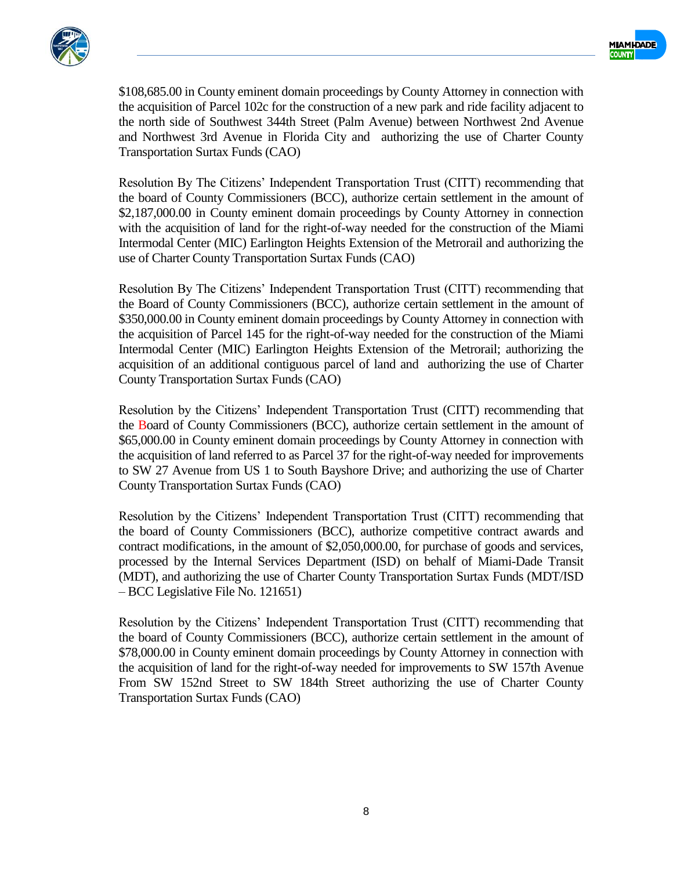



\$108,685.00 in County eminent domain proceedings by County Attorney in connection with the acquisition of Parcel 102c for the construction of a new park and ride facility adjacent to the north side of Southwest 344th Street (Palm Avenue) between Northwest 2nd Avenue and Northwest 3rd Avenue in Florida City and authorizing the use of Charter County Transportation Surtax Funds (CAO)

Resolution By The Citizens' Independent Transportation Trust (CITT) recommending that the board of County Commissioners (BCC), authorize certain settlement in the amount of \$2,187,000.00 in County eminent domain proceedings by County Attorney in connection with the acquisition of land for the right-of-way needed for the construction of the Miami Intermodal Center (MIC) Earlington Heights Extension of the Metrorail and authorizing the use of Charter County Transportation Surtax Funds (CAO)

Resolution By The Citizens' Independent Transportation Trust (CITT) recommending that the Board of County Commissioners (BCC), authorize certain settlement in the amount of \$350,000.00 in County eminent domain proceedings by County Attorney in connection with the acquisition of Parcel 145 for the right-of-way needed for the construction of the Miami Intermodal Center (MIC) Earlington Heights Extension of the Metrorail; authorizing the acquisition of an additional contiguous parcel of land and authorizing the use of Charter County Transportation Surtax Funds (CAO)

Resolution by the Citizens' Independent Transportation Trust (CITT) recommending that the Board of County Commissioners (BCC), authorize certain settlement in the amount of \$65,000.00 in County eminent domain proceedings by County Attorney in connection with the acquisition of land referred to as Parcel 37 for the right-of-way needed for improvements to SW 27 Avenue from US 1 to South Bayshore Drive; and authorizing the use of Charter County Transportation Surtax Funds (CAO)

Resolution by the Citizens' Independent Transportation Trust (CITT) recommending that the board of County Commissioners (BCC), authorize competitive contract awards and contract modifications, in the amount of \$2,050,000.00, for purchase of goods and services, processed by the Internal Services Department (ISD) on behalf of Miami-Dade Transit (MDT), and authorizing the use of Charter County Transportation Surtax Funds (MDT/ISD – BCC Legislative File No. 121651)

Resolution by the Citizens' Independent Transportation Trust (CITT) recommending that the board of County Commissioners (BCC), authorize certain settlement in the amount of \$78,000.00 in County eminent domain proceedings by County Attorney in connection with the acquisition of land for the right-of-way needed for improvements to SW 157th Avenue From SW 152nd Street to SW 184th Street authorizing the use of Charter County Transportation Surtax Funds (CAO)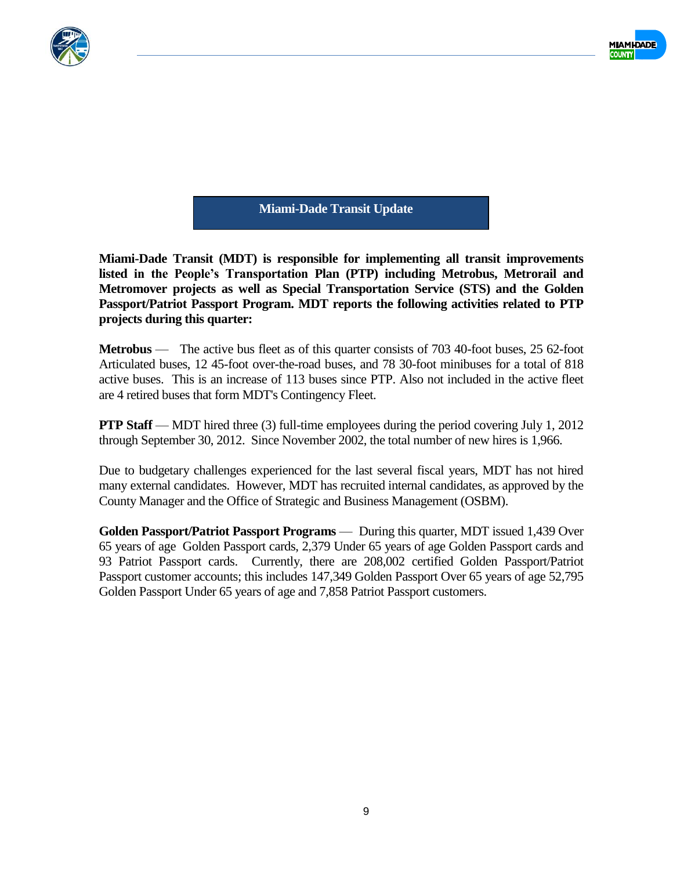



**Miami-Dade Transit Update**

**Miami-Dade Transit (MDT) is responsible for implementing all transit improvements listed in the People's Transportation Plan (PTP) including Metrobus, Metrorail and Metromover projects as well as Special Transportation Service (STS) and the Golden Passport/Patriot Passport Program. MDT reports the following activities related to PTP projects during this quarter:**

**Metrobus** — The active bus fleet as of this quarter consists of 703 40-foot buses, 25 62-foot Articulated buses, 12 45-foot over-the-road buses, and 78 30-foot minibuses for a total of 818 active buses. This is an increase of 113 buses since PTP. Also not included in the active fleet are 4 retired buses that form MDT's Contingency Fleet.

**PTP Staff** — MDT hired three (3) full-time employees during the period covering July 1, 2012 through September 30, 2012. Since November 2002, the total number of new hires is 1,966.

Due to budgetary challenges experienced for the last several fiscal years, MDT has not hired many external candidates. However, MDT has recruited internal candidates, as approved by the County Manager and the Office of Strategic and Business Management (OSBM).

**Golden Passport/Patriot Passport Programs** — During this quarter, MDT issued 1,439 Over 65 years of age Golden Passport cards, 2,379 Under 65 years of age Golden Passport cards and 93 Patriot Passport cards. Currently, there are 208,002 certified Golden Passport/Patriot Passport customer accounts; this includes 147,349 Golden Passport Over 65 years of age 52,795 Golden Passport Under 65 years of age and 7,858 Patriot Passport customers.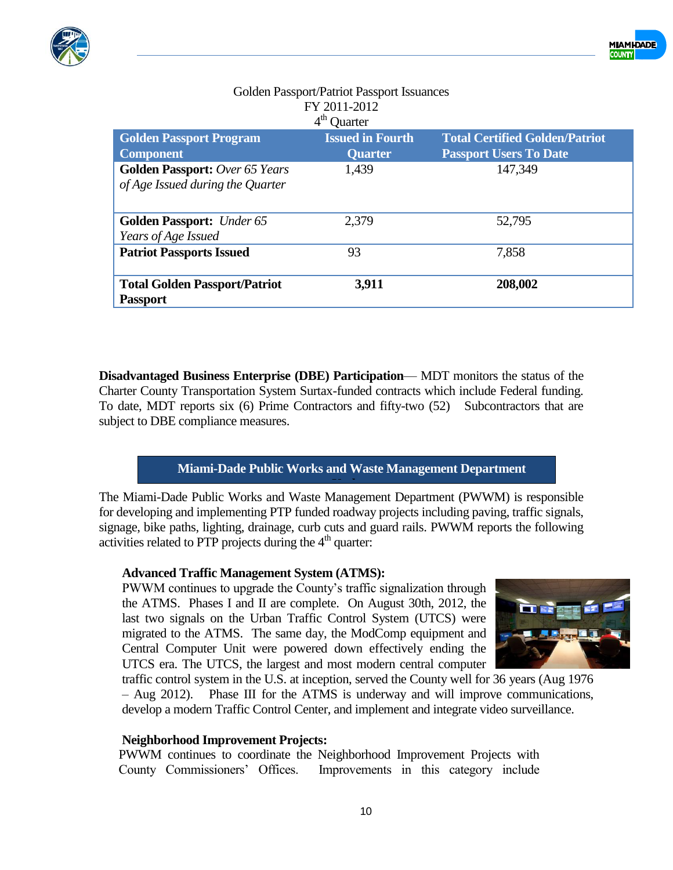

|                                                                           | FY 2011-2012<br>$4th$ Quarter             |                                                                        |
|---------------------------------------------------------------------------|-------------------------------------------|------------------------------------------------------------------------|
| <b>Golden Passport Program</b><br><b>Component</b>                        | <b>Issued in Fourth</b><br><b>Quarter</b> | <b>Total Certified Golden/Patriot</b><br><b>Passport Users To Date</b> |
| <b>Golden Passport:</b> Over 65 Years<br>of Age Issued during the Quarter | 1,439                                     | 147,349                                                                |
| <b>Golden Passport:</b> Under 65<br>Years of Age Issued                   | 2,379                                     | 52,795                                                                 |
| <b>Patriot Passports Issued</b>                                           | 93                                        | 7,858                                                                  |
| <b>Total Golden Passport/Patriot</b><br><b>Passport</b>                   | 3,911                                     | 208,002                                                                |

# Golden Passport/Patriot Passport Issuances FY 2011-2012

**Disadvantaged Business Enterprise (DBE) Participation**— MDT monitors the status of the Charter County Transportation System Surtax-funded contracts which include Federal funding. To date, MDT reports six (6) Prime Contractors and fifty-two (52) Subcontractors that are subject to DBE compliance measures.

# **Miami-Dade Public Works and Waste Management Department**

The Miami-Dade Public Works and Waste Management Department (PWWM) is responsible for developing and implementing PTP funded roadway projects including paving, traffic signals, signage, bike paths, lighting, drainage, curb cuts and guard rails. PWWM reports the following activities related to PTP projects during the  $4<sup>th</sup>$  quarter: **Update**

### **Advanced Traffic Management System (ATMS):**

PWWM continues to upgrade the County's traffic signalization through the ATMS. Phases I and II are complete. On August 30th, 2012, the last two signals on the Urban Traffic Control System (UTCS) were migrated to the ATMS. The same day, the ModComp equipment and Central Computer Unit were powered down effectively ending the UTCS era. The UTCS, the largest and most modern central computer



traffic control system in the U.S. at inception, served the County well for 36 years (Aug 1976 – Aug 2012). Phase III for the ATMS is underway and will improve communications, develop a modern Traffic Control Center, and implement and integrate video surveillance.

### **Neighborhood Improvement Projects:**

PWWM continues to coordinate the Neighborhood Improvement Projects with County Commissioners' Offices. Improvements in this category include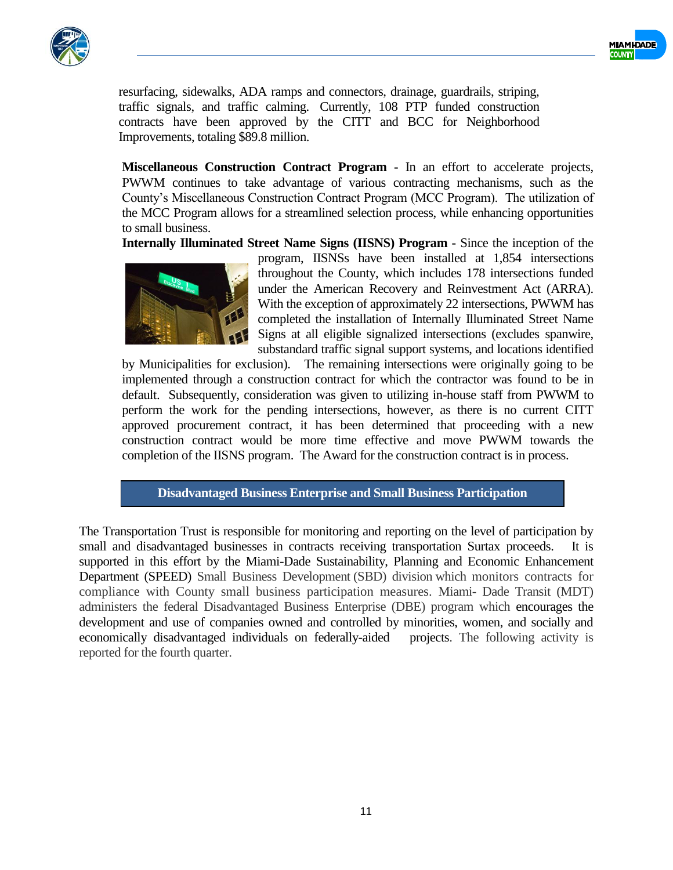



resurfacing, sidewalks, ADA ramps and connectors, drainage, guardrails, striping, traffic signals, and traffic calming. Currently, 108 PTP funded construction contracts have been approved by the CITT and BCC for Neighborhood Improvements, totaling \$89.8 million.

**Miscellaneous Construction Contract Program -** In an effort to accelerate projects, PWWM continues to take advantage of various contracting mechanisms, such as the County's Miscellaneous Construction Contract Program (MCC Program). The utilization of the MCC Program allows for a streamlined selection process, while enhancing opportunities to small business.

**Internally Illuminated Street Name Signs (IISNS) Program -** Since the inception of the



program, IISNSs have been installed at 1,854 intersections throughout the County, which includes 178 intersections funded under the American Recovery and Reinvestment Act (ARRA). With the exception of approximately 22 intersections, PWWM has completed the installation of Internally Illuminated Street Name Signs at all eligible signalized intersections (excludes spanwire, substandard traffic signal support systems, and locations identified

by Municipalities for exclusion). The remaining intersections were originally going to be implemented through a construction contract for which the contractor was found to be in default. Subsequently, consideration was given to utilizing in-house staff from PWWM to perform the work for the pending intersections, however, as there is no current CITT approved procurement contract, it has been determined that proceeding with a new construction contract would be more time effective and move PWWM towards the completion of the IISNS program. The Award for the construction contract is in process.

**Disadvantaged Business Enterprise and Small Business Participation Reporting**

The Transportation Trust is responsible for monitoring and reporting on the level of participation by small and disadvantaged businesses in contracts receiving transportation Surtax proceeds. It is supported in this effort by the Miami-Dade Sustainability, Planning and Economic Enhancement Department (SPEED) Small Business Development (SBD) division which monitors contracts for compliance with County small business participation measures. Miami- Dade Transit (MDT) administers the federal Disadvantaged Business Enterprise (DBE) program which encourages the development and use of companies owned and controlled by minorities, women, and socially and economically disadvantaged individuals on federally-aided projects. The following activity is reported for the fourth quarter.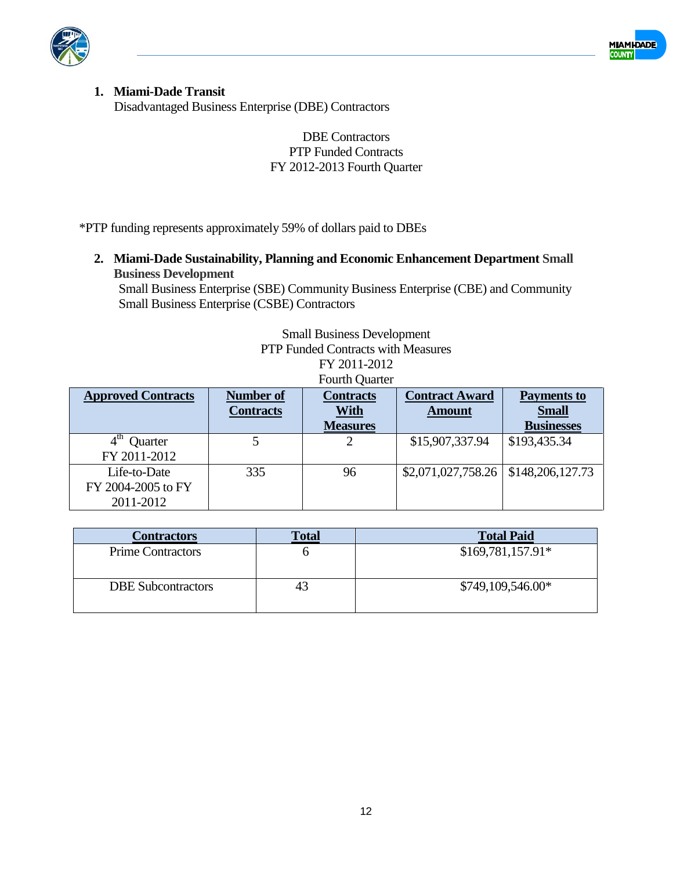



#### **1. Miami-Dade Transit** Disadvantaged Business Enterprise (DBE) Contractors

### DBE Contractors PTP Funded Contracts FY 2012-2013 Fourth Quarter

\*PTP funding represents approximately 59% of dollars paid to DBEs

**2. Miami-Dade Sustainability, Planning and Economic Enhancement Department Small Business Development** 

Small Business Enterprise (SBE) Community Business Enterprise (CBE) and Community Small Business Enterprise (CSBE) Contractors

> Small Business Development PTP Funded Contracts with Measures

FY 2011-2012 Fourth Quarter

| <b>Approved Contracts</b>                       | <b>Number of</b><br><b>Contracts</b> | <b>Contracts</b><br>With<br><b>Measures</b> | <b>Contract Award</b><br><b>Amount</b>   | <b>Payments to</b><br><b>Small</b><br><b>Businesses</b> |
|-------------------------------------------------|--------------------------------------|---------------------------------------------|------------------------------------------|---------------------------------------------------------|
| Quarter<br>FY 2011-2012                         |                                      |                                             | \$15,907,337.94                          | \$193,435.34                                            |
| Life-to-Date<br>FY 2004-2005 to FY<br>2011-2012 | 335                                  | 96                                          | $$2,071,027,758.26 \mid $148,206,127.73$ |                                                         |

| <b>Contractors</b>        | <b>Total</b> | <b>Total Paid</b>  |
|---------------------------|--------------|--------------------|
| <b>Prime Contractors</b>  |              | $$169,781,157.91*$ |
| <b>DBE</b> Subcontractors | 43           | $$749,109,546.00*$ |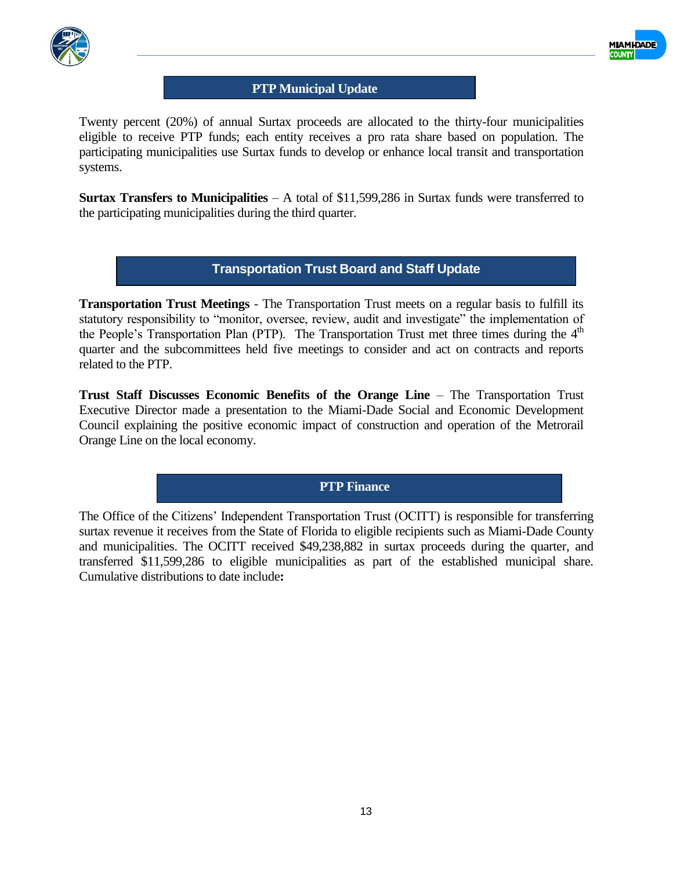



#### **PTP Municipal Update**

Twenty percent (20%) of annual Surtax proceeds are allocated to the thirty-four municipalities eligible to receive PTP funds; each entity receives a pro rata share based on population. The participating municipalities use Surtax funds to develop or enhance local transit and transportation systems.

**Surtax Transfers to Municipalities** – A total of \$11,599,286 in Surtax funds were transferred to the participating municipalities during the third quarter.

#### **Transportation Trust Board and Staff Update**

**Transportation Trust Meetings** - The Transportation Trust meets on a regular basis to fulfill its statutory responsibility to "monitor, oversee, review, audit and investigate" the implementation of the People's Transportation Plan (PTP). The Transportation Trust met three times during the  $4<sup>th</sup>$ quarter and the subcommittees held five meetings to consider and act on contracts and reports related to the PTP.

**Trust Staff Discusses Economic Benefits of the Orange Line** – The Transportation Trust Executive Director made a presentation to the Miami-Dade Social and Economic Development Council explaining the positive economic impact of construction and operation of the Metrorail Orange Line on the local economy.

**PTP Finance**

The Office of the Citizens' Independent Transportation Trust (OCITT) is responsible for transferring surtax revenue it receives from the State of Florida to eligible recipients such as Miami-Dade County and municipalities. The OCITT received \$49,238,882 in surtax proceeds during the quarter, and transferred \$11,599,286 to eligible municipalities as part of the established municipal share. Cumulative distributions to date include**:**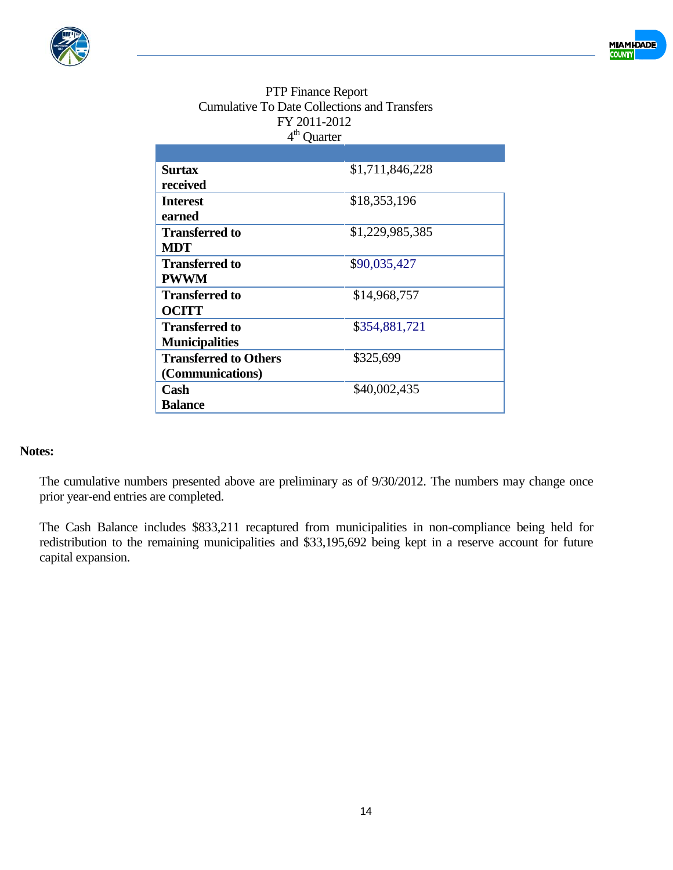



| <b>PTP Finance Report</b>                           |
|-----------------------------------------------------|
| <b>Cumulative To Date Collections and Transfers</b> |
| FY 2011-2012                                        |
| $4th$ Quarter                                       |

| <b>Surtax</b>                | \$1,711,846,228 |
|------------------------------|-----------------|
| received                     |                 |
| <b>Interest</b>              | \$18,353,196    |
| earned                       |                 |
| <b>Transferred to</b>        | \$1,229,985,385 |
| <b>MDT</b>                   |                 |
| <b>Transferred to</b>        | \$90,035,427    |
| <b>PWWM</b>                  |                 |
| <b>Transferred to</b>        | \$14,968,757    |
| <b>OCITT</b>                 |                 |
| <b>Transferred to</b>        | \$354,881,721   |
| <b>Municipalities</b>        |                 |
| <b>Transferred to Others</b> | \$325,699       |
| (Communications)             |                 |
| Cash                         | \$40,002,435    |
| <b>Balance</b>               |                 |

#### **Notes:**

The cumulative numbers presented above are preliminary as of 9/30/2012. The numbers may change once prior year-end entries are completed.

The Cash Balance includes \$833,211 recaptured from municipalities in non-compliance being held for redistribution to the remaining municipalities and \$33,195,692 being kept in a reserve account for future capital expansion.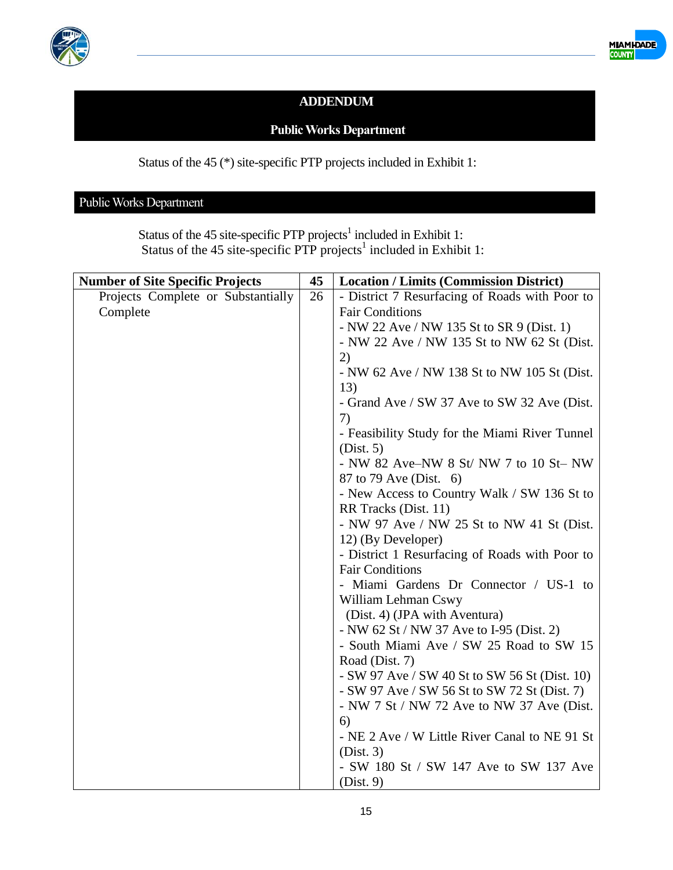



## **ADDENDUM**

## **Public Works Department**

Status of the 45 (\*) site-specific PTP projects included in Exhibit 1:

## Public Works Department

Status of the 45 site-specific PTP projects<sup>1</sup> included in Exhibit 1: Status of the 45 site-specific PTP projects<sup>1</sup> included in Exhibit 1:

| <b>Number of Site Specific Projects</b> | 45 | <b>Location / Limits (Commission District)</b> |
|-----------------------------------------|----|------------------------------------------------|
| Projects Complete or Substantially      | 26 | - District 7 Resurfacing of Roads with Poor to |
| Complete                                |    | <b>Fair Conditions</b>                         |
|                                         |    | - NW 22 Ave / NW 135 St to SR 9 (Dist. 1)      |
|                                         |    | - NW 22 Ave / NW 135 St to NW 62 St (Dist.     |
|                                         |    | 2)                                             |
|                                         |    | - NW 62 Ave / NW 138 St to NW 105 St (Dist.    |
|                                         |    | 13)                                            |
|                                         |    | - Grand Ave / SW 37 Ave to SW 32 Ave (Dist.    |
|                                         |    | 7)                                             |
|                                         |    | - Feasibility Study for the Miami River Tunnel |
|                                         |    | (Dist. 5)                                      |
|                                         |    | - NW 82 Ave–NW 8 St/ NW 7 to 10 St– NW         |
|                                         |    | 87 to 79 Ave (Dist. 6)                         |
|                                         |    | - New Access to Country Walk / SW 136 St to    |
|                                         |    | RR Tracks (Dist. 11)                           |
|                                         |    | - NW 97 Ave / NW 25 St to NW 41 St (Dist.      |
|                                         |    | 12) (By Developer)                             |
|                                         |    | - District 1 Resurfacing of Roads with Poor to |
|                                         |    | <b>Fair Conditions</b>                         |
|                                         |    | - Miami Gardens Dr Connector / US-1 to         |
|                                         |    | William Lehman Cswy                            |
|                                         |    | (Dist. 4) (JPA with Aventura)                  |
|                                         |    | - NW 62 St / NW 37 Ave to I-95 (Dist. 2)       |
|                                         |    | - South Miami Ave / SW 25 Road to SW 15        |
|                                         |    | Road (Dist. 7)                                 |
|                                         |    | - SW 97 Ave / SW 40 St to SW 56 St (Dist. 10)  |
|                                         |    | - SW 97 Ave / SW 56 St to SW 72 St (Dist. 7)   |
|                                         |    | - NW 7 St / NW 72 Ave to NW 37 Ave (Dist.      |
|                                         |    | 6)                                             |
|                                         |    | - NE 2 Ave / W Little River Canal to NE 91 St  |
|                                         |    | (Dist. 3)                                      |
|                                         |    | - SW 180 St / SW 147 Ave to SW 137 Ave         |
|                                         |    | (Dist. 9)                                      |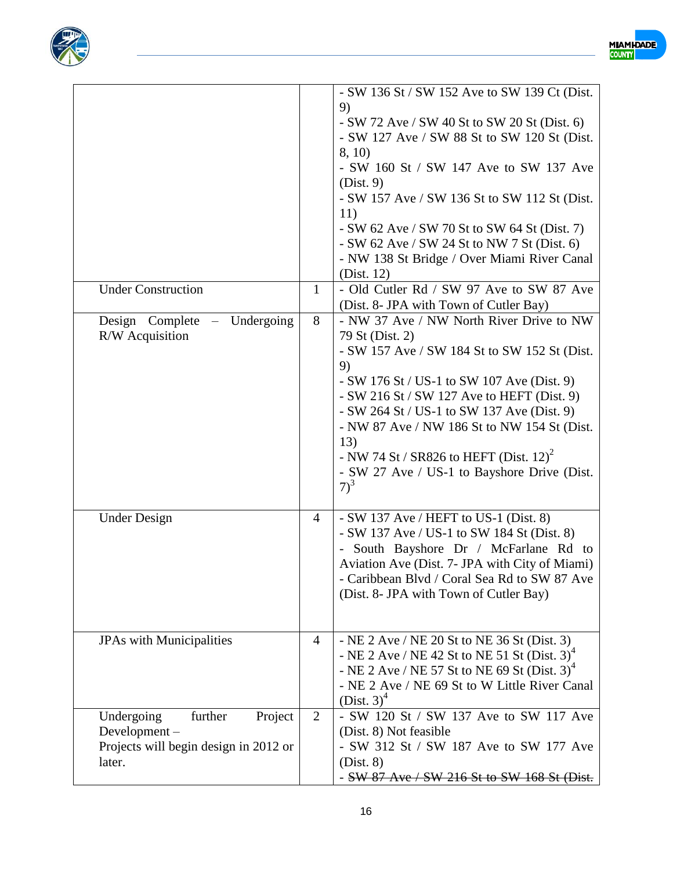



| <b>Under Construction</b><br>Design Complete – Undergoing<br>R/W Acquisition                        | $\mathbf{1}$<br>8 | - SW 136 St / SW 152 Ave to SW 139 Ct (Dist.<br>9)<br>$-SW$ 72 Ave / SW 40 St to SW 20 St (Dist. 6)<br>- SW 127 Ave / SW 88 St to SW 120 St (Dist.<br>8, 10)<br>- SW 160 St / SW 147 Ave to SW 137 Ave<br>(Dist. 9)<br>- SW 157 Ave / SW 136 St to SW 112 St (Dist.<br>11)<br>- SW 62 Ave / SW 70 St to SW 64 St (Dist. 7)<br>$-SW$ 62 Ave / SW 24 St to NW 7 St (Dist. 6)<br>- NW 138 St Bridge / Over Miami River Canal<br>(Dist. 12)<br>- Old Cutler Rd / SW 97 Ave to SW 87 Ave<br>(Dist. 8- JPA with Town of Cutler Bay)<br>- NW 37 Ave / NW North River Drive to NW<br>79 St (Dist. 2)<br>- SW 157 Ave / SW 184 St to SW 152 St (Dist.<br>9)<br>- SW 176 St / US-1 to SW 107 Ave (Dist. 9)<br>$-SW 216$ St / SW 127 Ave to HEFT (Dist. 9)<br>- SW 264 St / US-1 to SW 137 Ave (Dist. 9)<br>- NW 87 Ave / NW 186 St to NW 154 St (Dist.<br>13)<br>- NW 74 St / SR826 to HEFT (Dist. 12) <sup>2</sup><br>- SW 27 Ave / US-1 to Bayshore Drive (Dist.<br>$7)^3$ |
|-----------------------------------------------------------------------------------------------------|-------------------|--------------------------------------------------------------------------------------------------------------------------------------------------------------------------------------------------------------------------------------------------------------------------------------------------------------------------------------------------------------------------------------------------------------------------------------------------------------------------------------------------------------------------------------------------------------------------------------------------------------------------------------------------------------------------------------------------------------------------------------------------------------------------------------------------------------------------------------------------------------------------------------------------------------------------------------------------------------------|
| <b>Under Design</b>                                                                                 | 4                 | $-SW$ 137 Ave / HEFT to US-1 (Dist. 8)<br>- SW 137 Ave / US-1 to SW 184 St (Dist. 8)<br>- South Bayshore Dr / McFarlane Rd to<br>Aviation Ave (Dist. 7- JPA with City of Miami)<br>- Caribbean Blvd / Coral Sea Rd to SW 87 Ave<br>(Dist. 8- JPA with Town of Cutler Bay)                                                                                                                                                                                                                                                                                                                                                                                                                                                                                                                                                                                                                                                                                          |
| <b>JPAs</b> with Municipalities                                                                     | $\overline{4}$    | - NE 2 Ave / NE 20 St to NE 36 St (Dist. 3)<br>- NE 2 Ave / NE 42 St to NE 51 St (Dist. $3)^4$<br>- NE 2 Ave / NE 57 St to NE 69 St (Dist. $3^4$ )<br>- NE 2 Ave / NE 69 St to W Little River Canal<br>$(Dist. 3)^4$                                                                                                                                                                                                                                                                                                                                                                                                                                                                                                                                                                                                                                                                                                                                               |
| Undergoing<br>further<br>Project<br>Development-<br>Projects will begin design in 2012 or<br>later. | 2                 | - SW 120 St / SW 137 Ave to SW 117 Ave<br>(Dist. 8) Not feasible<br>- SW 312 St / SW 187 Ave to SW 177 Ave<br>(Dist. 8)<br>- SW 87 Ave / SW 216 St to SW 168 St (Dist.                                                                                                                                                                                                                                                                                                                                                                                                                                                                                                                                                                                                                                                                                                                                                                                             |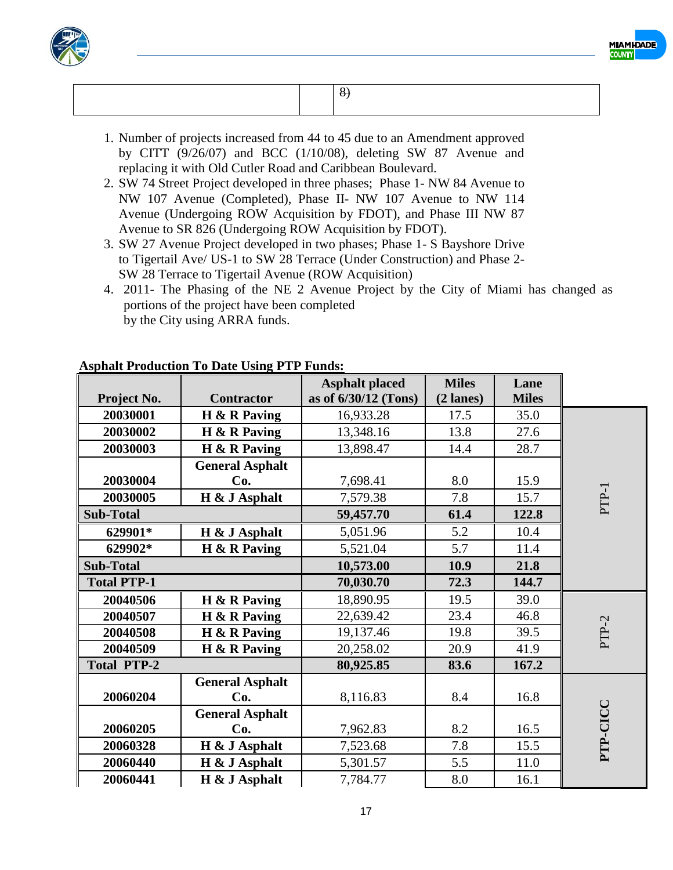



- 1. Number of projects increased from 44 to 45 due to an Amendment approved by CITT (9/26/07) and BCC (1/10/08), deleting SW 87 Avenue and replacing it with Old Cutler Road and Caribbean Boulevard.
- 2. SW 74 Street Project developed in three phases; Phase 1- NW 84 Avenue to NW 107 Avenue (Completed), Phase II- NW 107 Avenue to NW 114 Avenue (Undergoing ROW Acquisition by FDOT), and Phase III NW 87 Avenue to SR 826 (Undergoing ROW Acquisition by FDOT).
- 3. SW 27 Avenue Project developed in two phases; Phase 1- S Bayshore Drive to Tigertail Ave/ US-1 to SW 28 Terrace (Under Construction) and Phase 2- SW 28 Terrace to Tigertail Avenue (ROW Acquisition)
- 4. 2011- The Phasing of the NE 2 Avenue Project by the City of Miami has changed as portions of the project have been completed by the City using ARRA funds.

|                    |                        | <b>Asphalt placed</b> | <b>Miles</b> | Lane         |          |
|--------------------|------------------------|-----------------------|--------------|--------------|----------|
| Project No.        | <b>Contractor</b>      | as of 6/30/12 (Tons)  | $(2$ lanes)  | <b>Miles</b> |          |
| 20030001           | $H \& R$ Paving        | 16,933.28             | 17.5         | 35.0         |          |
| 20030002           | $H \& R$ Paving        | 13,348.16             | 13.8         | 27.6         |          |
| 20030003           | H & R Paving           | 13,898.47             | 14.4         | 28.7         |          |
|                    | <b>General Asphalt</b> |                       |              |              |          |
| 20030004           | Co.                    | 7,698.41              | 8.0          | 15.9         |          |
| 20030005           | H & J Asphalt          | 7,579.38              | 7.8          | 15.7         | PTP-1    |
| <b>Sub-Total</b>   |                        | 59,457.70             | 61.4         | 122.8        |          |
| 629901*            | H & J Asphalt          | 5,051.96              | 5.2          | 10.4         |          |
| 629902*            | $H \& R$ Paving        | 5,521.04              | 5.7          | 11.4         |          |
| <b>Sub-Total</b>   |                        | 10,573.00             | 10.9         | 21.8         |          |
| <b>Total PTP-1</b> |                        | 70,030.70             | 72.3         | 144.7        |          |
| 20040506           | H & R Paving           | 18,890.95             | 19.5         | 39.0         |          |
| 20040507           | $H \& R$ Paving        | 22,639.42             | 23.4         | 46.8         |          |
| 20040508           | H & R Paving           | 19,137.46             | 19.8         | 39.5         | PTP-2    |
| 20040509           | $H \& R$ Paving        | 20,258.02             | 20.9         | 41.9         |          |
| <b>Total PTP-2</b> |                        | 80,925.85             | 83.6         | 167.2        |          |
|                    | <b>General Asphalt</b> |                       |              |              |          |
| 20060204           | Co.                    | 8,116.83              | 8.4          | 16.8         |          |
|                    | <b>General Asphalt</b> |                       |              |              |          |
| 20060205           | Co.                    | 7,962.83              | 8.2          | 16.5         |          |
| 20060328           | H & J Asphalt          | 7,523.68              | 7.8          | 15.5         | PTP-CICC |
| 20060440           | H & J Asphalt          | 5,301.57              | 5.5          | 11.0         |          |
| 20060441           | H & J Asphalt          | 7,784.77              | 8.0          | 16.1         |          |

### **Asphalt Production To Date Using PTP Funds:**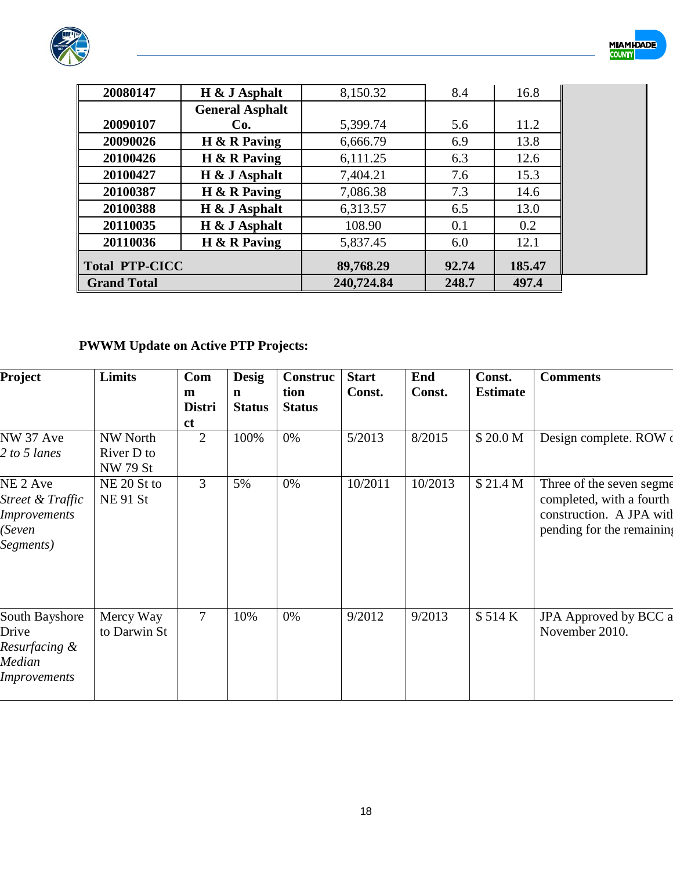



| 20080147              | H & J Asphalt          | 8,150.32   | 8.4   | 16.8   |
|-----------------------|------------------------|------------|-------|--------|
|                       | <b>General Asphalt</b> |            |       |        |
| 20090107              | Co.                    | 5,399.74   | 5.6   | 11.2   |
| 20090026              | $H \& R$ Paving        | 6,666.79   | 6.9   | 13.8   |
| 20100426              | $H \& R$ Paving        | 6,111.25   | 6.3   | 12.6   |
| 20100427              | $H \& J$ Asphalt       | 7,404.21   | 7.6   | 15.3   |
| 20100387              | $H \& R$ Paving        | 7,086.38   | 7.3   | 14.6   |
| 20100388              | H & J Asphalt          | 6,313.57   | 6.5   | 13.0   |
| 20110035              | H & J Asphalt          | 108.90     | 0.1   | 0.2    |
| 20110036              | $H \& R$ Paving        | 5,837.45   | 6.0   | 12.1   |
| <b>Total PTP-CICC</b> |                        | 89,768.29  | 92.74 | 185.47 |
| <b>Grand Total</b>    |                        | 240,724.84 | 248.7 | 497.4  |

# **PWWM Update on Active PTP Projects:**

| Project                                                                               | <b>Limits</b>                                    | Com<br>m<br><b>Distri</b><br><sub>ct</sub> | <b>Desig</b><br>n<br><b>Status</b> | Construc<br>tion<br><b>Status</b> | <b>Start</b><br>Const. | End<br>Const. | Const.<br><b>Estimate</b> | <b>Comments</b>                                                                                               |
|---------------------------------------------------------------------------------------|--------------------------------------------------|--------------------------------------------|------------------------------------|-----------------------------------|------------------------|---------------|---------------------------|---------------------------------------------------------------------------------------------------------------|
| NW 37 Ave<br>2 to 5 lanes                                                             | <b>NW North</b><br>River D to<br><b>NW 79 St</b> | $\overline{2}$                             | 100%                               | 0%                                | 5/2013                 | 8/2015        | \$20.0 M                  | Design complete. ROW                                                                                          |
| NE <sub>2</sub> Ave<br>Street & Traffic<br><b>Improvements</b><br>(Seven<br>Segments) | NE 20 St to<br><b>NE91 St</b>                    | 3                                          | 5%                                 | 0%                                | 10/2011                | 10/2013       | \$21.4 M                  | Three of the seven segme<br>completed, with a fourth<br>construction. A JPA with<br>pending for the remaining |
| South Bayshore<br>Drive<br>Resurfacing &<br>Median<br><b>Improvements</b>             | Mercy Way<br>to Darwin St                        | 7                                          | 10%                                | 0%                                | 9/2012                 | 9/2013        | \$514 K                   | JPA Approved by BCC a<br>November 2010.                                                                       |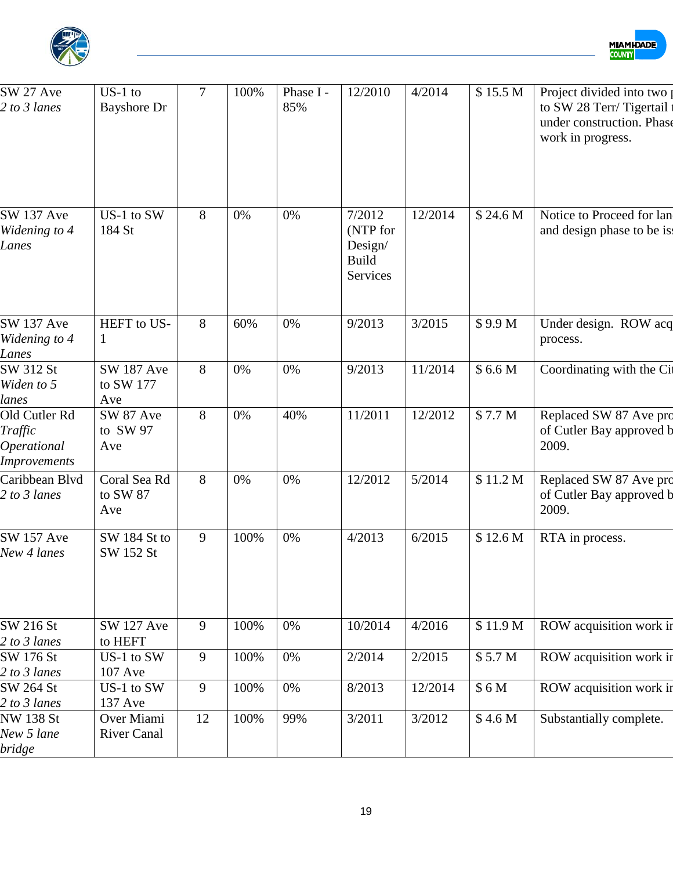



| SW 27 Ave<br>2 to 3 lanes                                             | $US-1$ to<br><b>Bayshore Dr</b>       | $\overline{7}$ | 100% | Phase I-<br>85% | 12/2010                                                          | 4/2014  | \$15.5 M           | Project divided into two<br>to SW 28 Terr/Tigertail<br>under construction. Phase<br>work in progress. |
|-----------------------------------------------------------------------|---------------------------------------|----------------|------|-----------------|------------------------------------------------------------------|---------|--------------------|-------------------------------------------------------------------------------------------------------|
| <b>SW 137 Ave</b><br>Widening to 4<br>Lanes                           | US-1 to SW<br>184 St                  | 8              | 0%   | 0%              | 7/2012<br>(NTP for<br>Design/<br><b>Build</b><br><b>Services</b> | 12/2014 | \$24.6 M           | Notice to Proceed for lan<br>and design phase to be is.                                               |
| <b>SW 137 Ave</b><br>Widening to 4<br>Lanes                           | HEFT to US-<br>1                      | 8              | 60%  | 0%              | 9/2013                                                           | 3/2015  | \$9.9 M            | Under design. ROW acq<br>process.                                                                     |
| SW 312 St<br>Widen to 5<br>lanes                                      | <b>SW 187 Ave</b><br>to SW 177<br>Ave | 8              | 0%   | 0%              | 9/2013                                                           | 11/2014 | \$6.6 <sub>M</sub> | Coordinating with the Ci                                                                              |
| Old Cutler Rd<br>Traffic<br><b>Operational</b><br><b>Improvements</b> | SW 87 Ave<br>to SW 97<br>Ave          | 8              | 0%   | 40%             | 11/2011                                                          | 12/2012 | \$7.7 M            | Replaced SW 87 Ave pro<br>of Cutler Bay approved b<br>2009.                                           |
| Caribbean Blvd<br>2 to 3 lanes                                        | Coral Sea Rd<br>to SW 87<br>Ave       | 8              | 0%   | 0%              | 12/2012                                                          | 5/2014  | \$11.2 M           | Replaced SW 87 Ave pro<br>of Cutler Bay approved b<br>2009.                                           |
| <b>SW 157 Ave</b><br>New 4 lanes                                      | SW 184 St to<br>SW 152 St             | 9              | 100% | 0%              | 4/2013                                                           | 6/2015  | \$12.6 M           | RTA in process.                                                                                       |
| SW 216 St                                                             | <b>SW 127 Ave</b>                     | 9              | 100% | 0%              | 10/2014                                                          | 4/2016  | \$11.9 M           | ROW acquisition work in                                                                               |
| 2 to 3 lanes<br>SW 176 St                                             | to HEFT<br>US-1 to SW                 | 9              | 100% | 0%              | 2/2014                                                           | 2/2015  | \$5.7 M            | ROW acquisition work in                                                                               |
| 2 to 3 lanes                                                          | 107 Ave                               |                |      |                 |                                                                  |         |                    |                                                                                                       |
| SW 264 St<br>2 to 3 lanes                                             | US-1 to SW<br>137 Ave                 | 9              | 100% | 0%              | 8/2013                                                           | 12/2014 | \$6M               | ROW acquisition work in                                                                               |
| <b>NW 138 St</b><br>New 5 lane                                        | Over Miami<br><b>River Canal</b>      | 12             | 100% | 99%             | 3/2011                                                           | 3/2012  | \$4.6 M            | Substantially complete.                                                                               |
| bridge                                                                |                                       |                |      |                 |                                                                  |         |                    |                                                                                                       |